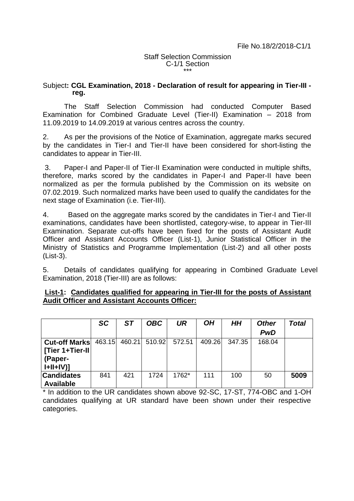### Staff Selection Commission C-1/1 Section \*\*\*

## Subject**: CGL Examination, 2018 - Declaration of result for appearing in Tier-III reg.**

The Staff Selection Commission had conducted Computer Based Examination for Combined Graduate Level (Tier-II) Examination – 2018 from 11.09.2019 to 14.09.2019 at various centres across the country.

2. As per the provisions of the Notice of Examination, aggregate marks secured by the candidates in Tier-I and Tier-II have been considered for short-listing the candidates to appear in Tier-III.

3. Paper-I and Paper-II of Tier-II Examination were conducted in multiple shifts, therefore, marks scored by the candidates in Paper-I and Paper-II have been normalized as per the formula published by the Commission on its website on 07.02.2019. Such normalized marks have been used to qualify the candidates for the next stage of Examination (i.e. Tier-III).

4. Based on the aggregate marks scored by the candidates in Tier-I and Tier-II examinations, candidates have been shortlisted, category-wise, to appear in Tier-III Examination. Separate cut-offs have been fixed for the posts of Assistant Audit Officer and Assistant Accounts Officer (List-1), Junior Statistical Officer in the Ministry of Statistics and Programme Implementation (List-2) and all other posts (List-3).

5. Details of candidates qualifying for appearing in Combined Graduate Level Examination, 2018 (Tier-III) are as follows:

|                      | <b>SC</b> | <b>ST</b> | <b>OBC</b> | UR     | OΗ     | HН     | <b>Other</b> | Total |
|----------------------|-----------|-----------|------------|--------|--------|--------|--------------|-------|
|                      |           |           |            |        |        |        | <b>PwD</b>   |       |
| <b>Cut-off Marks</b> | 463.15    | 460.21    | 510.92     | 572.51 | 409.26 | 347.35 | 168.04       |       |
| [Tier 1+Tier-II]     |           |           |            |        |        |        |              |       |
| (Paper-              |           |           |            |        |        |        |              |       |
| $I+II+IV$ ]          |           |           |            |        |        |        |              |       |
| <b>Candidates</b>    | 841       | 421       | 1724       | 1762*  | 111    | 100    | 50           | 5009  |
| <b>Available</b>     |           |           |            |        |        |        |              |       |

## **List-1: Candidates qualified for appearing in Tier-III for the posts of Assistant Audit Officer and Assistant Accounts Officer:**

\* In addition to the UR candidates shown above 92-SC, 17-ST, 774-OBC and 1-OH candidates qualifying at UR standard have been shown under their respective categories.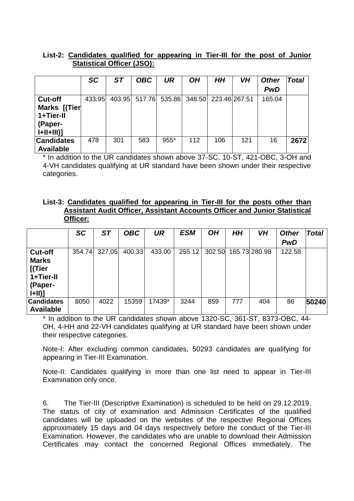# **List-2: Candidates qualified for appearing in Tier-III for the post of Junior Statistical Officer (JSO):**

|                   | SC     | <b>ST</b> | <b>OBC</b> | <b>UR</b>                                 | OΗ  | HH  | VH  | <b>Other</b> | <b>Total</b> |
|-------------------|--------|-----------|------------|-------------------------------------------|-----|-----|-----|--------------|--------------|
|                   |        |           |            |                                           |     |     |     | <b>PwD</b>   |              |
| <b>Cut-off</b>    | 433.95 |           |            | 403.95 517.76 535.86 348.50 223.46 267.51 |     |     |     | 165.04       |              |
| Marks [(Tier      |        |           |            |                                           |     |     |     |              |              |
| 1+Tier-II         |        |           |            |                                           |     |     |     |              |              |
| (Paper-           |        |           |            |                                           |     |     |     |              |              |
| $I+II+III$ ]      |        |           |            |                                           |     |     |     |              |              |
| <b>Candidates</b> | 478    | 301       | 583        | 955*                                      | 112 | 106 | 121 | 16           | 2672         |
| <b>Available</b>  |        |           |            |                                           |     |     |     |              |              |

\* In addition to the UR candidates shown above 37-SC, 10-ST, 421-OBC, 3-OH and 4-VH candidates qualifying at UR standard have been shown under their respective categories.

## **List-3: Candidates qualified for appearing in Tier-III for the posts other than Assistant Audit Officer, Assistant Accounts Officer and Junior Statistical Officer:**

|                   | <b>SC</b> | <b>ST</b> | <b>OBC</b> | <b>UR</b> | <b>ESM</b> | <b>OH</b> | <b>HH</b> | VH            | <b>Other</b> | <b>Total</b> |
|-------------------|-----------|-----------|------------|-----------|------------|-----------|-----------|---------------|--------------|--------------|
|                   |           |           |            |           |            |           |           |               | <b>PwD</b>   |              |
| <b>Cut-off</b>    | 354.74    | 327.05    | 400.33     | 433.00    | 255.12     | 302.50    |           | 165.73 280.98 | 122.58       |              |
| <b>Marks</b>      |           |           |            |           |            |           |           |               |              |              |
| [(Tier            |           |           |            |           |            |           |           |               |              |              |
| 1+Tier-II         |           |           |            |           |            |           |           |               |              |              |
| (Paper-           |           |           |            |           |            |           |           |               |              |              |
| H                 |           |           |            |           |            |           |           |               |              |              |
| <b>Candidates</b> | 8050      | 4022      | 15359      | 17439*    | 3244       | 859       | 777       | 404           | 86           | 50240        |
| <b>Available</b>  |           |           |            |           |            |           |           |               |              |              |

\* In addition to the UR candidates shown above 1320-SC, 361-ST, 8373-OBC, 44- OH, 4-HH and 22-VH candidates qualifying at UR standard have been shown under their respective categories.

Note-I: After excluding common candidates, 50293 candidates are qualifying for appearing in Tier-III Examination.

Note-II: Candidates qualifying in more than one list need to appear in Tier-III Examination only once.

6. The Tier-III (Descriptive Examination) is scheduled to be held on 29.12.2019. The status of city of examination and Admission Certificates of the qualified candidates will be uploaded on the websites of the respective Regional Offices approximately 15 days and 04 days respectively before the conduct of the Tier-III Examination. However, the candidates who are unable to download their Admission Certificates may contact the concerned Regional Offices immediately. The